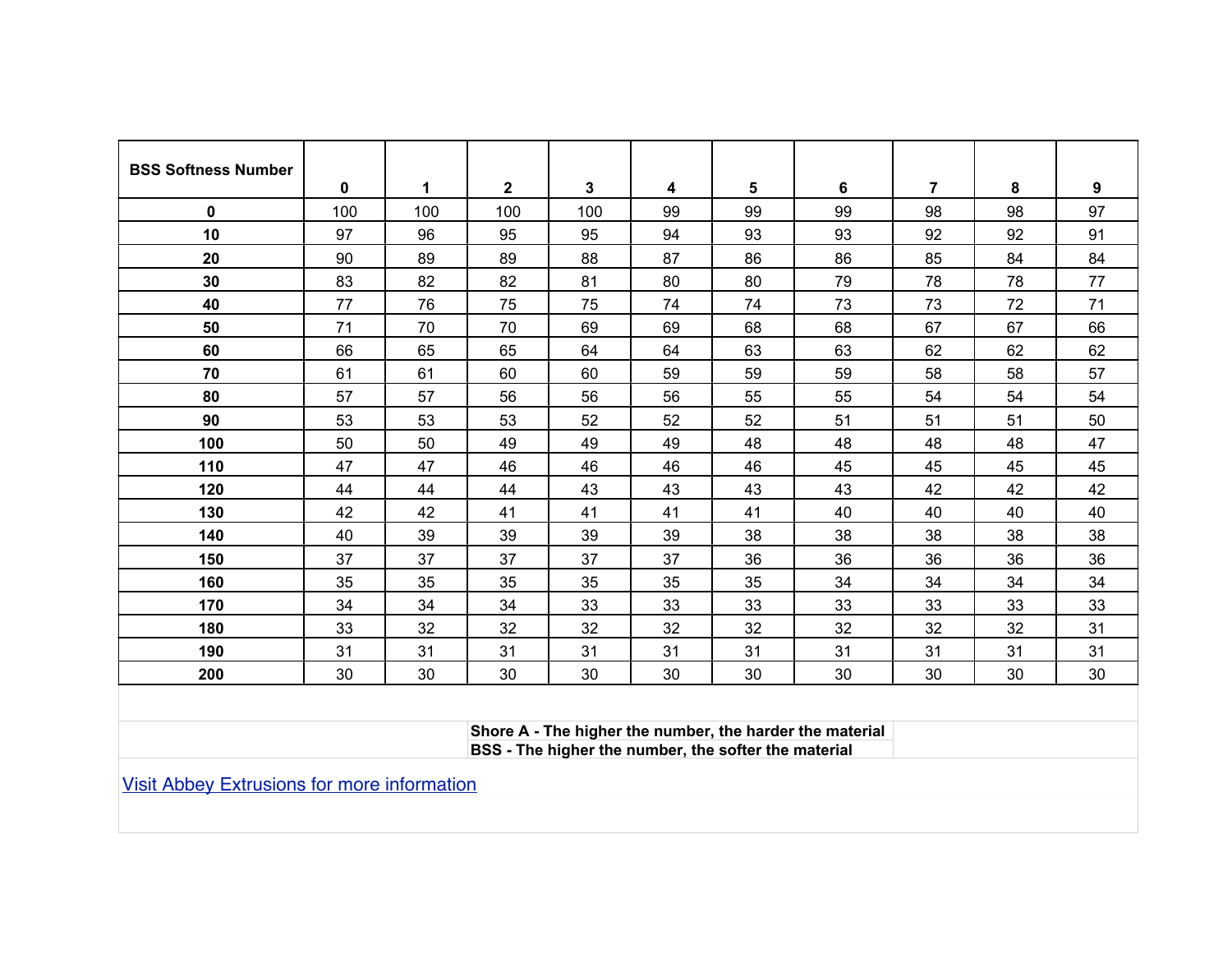| <b>BSS Softness Number</b> |          |     |              |     |    |    |    |                |    |    |
|----------------------------|----------|-----|--------------|-----|----|----|----|----------------|----|----|
|                            | $\bf{0}$ | 1   | $\mathbf{2}$ | 3   | 4  | 5  | 6  | $\overline{7}$ | 8  | 9  |
| $\mathbf{0}$               | 100      | 100 | 100          | 100 | 99 | 99 | 99 | 98             | 98 | 97 |
| 10                         | 97       | 96  | 95           | 95  | 94 | 93 | 93 | 92             | 92 | 91 |
| 20                         | 90       | 89  | 89           | 88  | 87 | 86 | 86 | 85             | 84 | 84 |
| 30                         | 83       | 82  | 82           | 81  | 80 | 80 | 79 | 78             | 78 | 77 |
| 40                         | 77       | 76  | 75           | 75  | 74 | 74 | 73 | 73             | 72 | 71 |
| 50                         | 71       | 70  | 70           | 69  | 69 | 68 | 68 | 67             | 67 | 66 |
| 60                         | 66       | 65  | 65           | 64  | 64 | 63 | 63 | 62             | 62 | 62 |
| 70                         | 61       | 61  | 60           | 60  | 59 | 59 | 59 | 58             | 58 | 57 |
| 80                         | 57       | 57  | 56           | 56  | 56 | 55 | 55 | 54             | 54 | 54 |
| 90                         | 53       | 53  | 53           | 52  | 52 | 52 | 51 | 51             | 51 | 50 |
| 100                        | 50       | 50  | 49           | 49  | 49 | 48 | 48 | 48             | 48 | 47 |
| 110                        | 47       | 47  | 46           | 46  | 46 | 46 | 45 | 45             | 45 | 45 |
| 120                        | 44       | 44  | 44           | 43  | 43 | 43 | 43 | 42             | 42 | 42 |
| 130                        | 42       | 42  | 41           | 41  | 41 | 41 | 40 | 40             | 40 | 40 |
| 140                        | 40       | 39  | 39           | 39  | 39 | 38 | 38 | 38             | 38 | 38 |
| 150                        | 37       | 37  | 37           | 37  | 37 | 36 | 36 | 36             | 36 | 36 |
| 160                        | 35       | 35  | 35           | 35  | 35 | 35 | 34 | 34             | 34 | 34 |
| 170                        | 34       | 34  | 34           | 33  | 33 | 33 | 33 | 33             | 33 | 33 |
| 180                        | 33       | 32  | 32           | 32  | 32 | 32 | 32 | 32             | 32 | 31 |
| 190                        | 31       | 31  | 31           | 31  | 31 | 31 | 31 | 31             | 31 | 31 |
| 200                        | 30       | 30  | 30           | 30  | 30 | 30 | 30 | 30             | 30 | 30 |

**Shore A - The higher the number, the harder the material BSS - The higher the number, the softer the material**

[Visit Abbey Extrusions for more information](http://abbeyextrusions.com/)